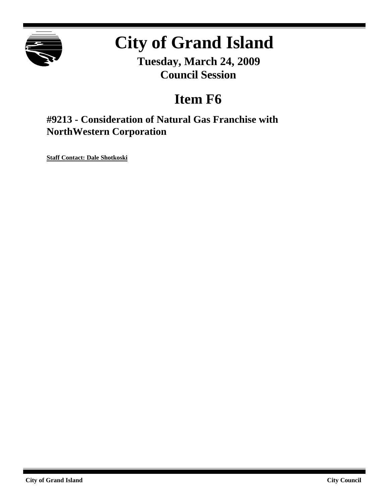

# **City of Grand Island**

**Tuesday, March 24, 2009 Council Session**

## **Item F6**

**#9213 - Consideration of Natural Gas Franchise with NorthWestern Corporation**

**Staff Contact: Dale Shotkoski**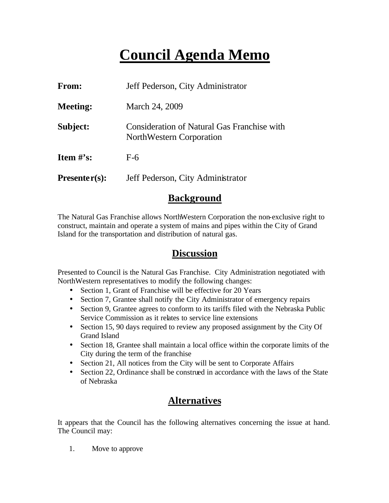## **Council Agenda Memo**

| From:           | Jeff Pederson, City Administrator                                       |
|-----------------|-------------------------------------------------------------------------|
| <b>Meeting:</b> | March 24, 2009                                                          |
| Subject:        | Consideration of Natural Gas Franchise with<br>NorthWestern Corporation |
| Item $\#$ 's:   | $F-6$                                                                   |
| $Presenter(s):$ | Jeff Pederson, City Administrator                                       |

#### **Background**

The Natural Gas Franchise allows NorthWestern Corporation the non-exclusive right to construct, maintain and operate a system of mains and pipes within the City of Grand Island for the transportation and distribution of natural gas.

### **Discussion**

Presented to Council is the Natural Gas Franchise. City Administration negotiated with NorthWestern representatives to modify the following changes:

- Section 1, Grant of Franchise will be effective for 20 Years
- Section 7, Grantee shall notify the City Administrator of emergency repairs
- Section 9, Grantee agrees to conform to its tariffs filed with the Nebraska Public Service Commission as it relates to service line extensions
- Section 15, 90 days required to review any proposed assignment by the City Of Grand Island
- Section 18, Grantee shall maintain a local office within the corporate limits of the City during the term of the franchise
- Section 21, All notices from the City will be sent to Corporate Affairs
- Section 22, Ordinance shall be construed in accordance with the laws of the State of Nebraska

## **Alternatives**

It appears that the Council has the following alternatives concerning the issue at hand. The Council may:

1. Move to approve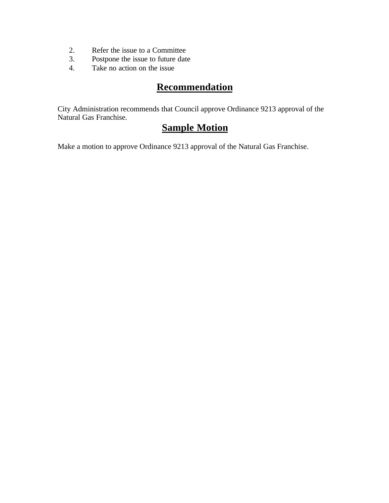- 2. Refer the issue to a Committee<br>3. Postpone the issue to future date
- Postpone the issue to future date
- 4. Take no action on the issue

## **Recommendation**

City Administration recommends that Council approve Ordinance 9213 approval of the Natural Gas Franchise.

## **Sample Motion**

Make a motion to approve Ordinance 9213 approval of the Natural Gas Franchise.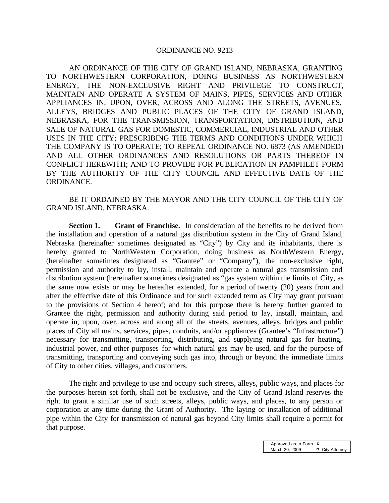#### ORDINANCE NO. 9213

AN ORDINANCE OF THE CITY OF GRAND ISLAND, NEBRASKA, GRANTING TO NORTHWESTERN CORPORATION, DOING BUSINESS AS NORTHWESTERN ENERGY, THE NON-EXCLUSIVE RIGHT AND PRIVILEGE TO CONSTRUCT, MAINTAIN AND OPERATE A SYSTEM OF MAINS, PIPES, SERVICES AND OTHER APPLIANCES IN, UPON, OVER, ACROSS AND ALONG THE STREETS, AVENUES, ALLEYS, BRIDGES AND PUBLIC PLACES OF THE CITY OF GRAND ISLAND, NEBRASKA, FOR THE TRANSMISSION, TRANSPORTATION, DISTRIBUTION, AND SALE OF NATURAL GAS FOR DOMESTIC, COMMERCIAL, INDUSTRIAL AND OTHER USES IN THE CITY; PRESCRIBING THE TERMS AND CONDITIONS UNDER WHICH THE COMPANY IS TO OPERATE; TO REPEAL ORDINANCE NO. 6873 (AS AMENDED) AND ALL OTHER ORDINANCES AND RESOLUTIONS OR PARTS THEREOF IN CONFLICT HEREWITH; AND TO PROVIDE FOR PUBLICATION IN PAMPHLET FORM BY THE AUTHORITY OF THE CITY COUNCIL AND EFFECTIVE DATE OF THE ORDINANCE.

BE IT ORDAINED BY THE MAYOR AND THE CITY COUNCIL OF THE CITY OF GRAND ISLAND, NEBRASKA.

**Section 1. Grant of Franchise.** In consideration of the benefits to be derived from the installation and operation of a natural gas distribution system in the City of Grand Island, Nebraska (hereinafter sometimes designated as "City") by City and its inhabitants, there is hereby granted to NorthWestern Corporation, doing business as NorthWestern Energy, (hereinafter sometimes designated as "Grantee" or "Company"), the non-exclusive right, permission and authority to lay, install, maintain and operate a natural gas transmission and distribution system (hereinafter sometimes designated as "gas system within the limits of City, as the same now exists or may be hereafter extended, for a period of twenty (20) years from and after the effective date of this Ordinance and for such extended term as City may grant pursuant to the provisions of Section 4 hereof; and for this purpose there is hereby further granted to Grantee the right, permission and authority during said period to lay, install, maintain, and operate in, upon, over, across and along all of the streets, avenues, alleys, bridges and public places of City all mains, services, pipes, conduits, and/or appliances (Grantee's "Infrastructure") necessary for transmitting, transporting, distributing, and supplying natural gas for heating, industrial power, and other purposes for which natural gas may be used, and for the purpose of transmitting, transporting and conveying such gas into, through or beyond the immediate limits of City to other cities, villages, and customers.

The right and privilege to use and occupy such streets, alleys, public ways, and places for the purposes herein set forth, shall not be exclusive, and the City of Grand Island reserves the right to grant a similar use of such streets, alleys, public ways, and places, to any person or corporation at any time during the Grant of Authority. The laying or installation of additional pipe within the City for transmission of natural gas beyond City limits shall require a permit for that purpose.

> Approved as to Form  $\overline{a}$ <br>March 20, 2009  $\overline{a}$  $x$  City Attorney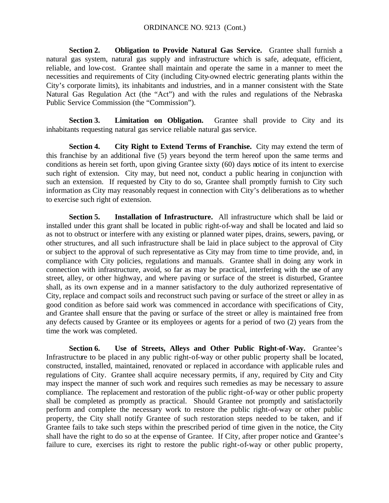**Section 2. Obligation to Provide Natural Gas Service.** Grantee shall furnish a natural gas system, natural gas supply and infrastructure which is safe, adequate, efficient, reliable, and low-cost. Grantee shall maintain and operate the same in a manner to meet the necessities and requirements of City (including City-owned electric generating plants within the City's corporate limits), its inhabitants and industries, and in a manner consistent with the State Natural Gas Regulation Act (the "Act") and with the rules and regulations of the Nebraska Public Service Commission (the "Commission").

**Section 3. Limitation on Obligation.** Grantee shall provide to City and its inhabitants requesting natural gas service reliable natural gas service.

**Section 4. City Right to Extend Terms of Franchise.** City may extend the term of this franchise by an additional five (5) years beyond the term hereof upon the same terms and conditions as herein set forth, upon giving Grantee sixty (60) days notice of its intent to exercise such right of extension. City may, but need not, conduct a public hearing in conjunction with such an extension. If requested by City to do so, Grantee shall promptly furnish to City such information as City may reasonably request in connection with City's deliberations as to whether to exercise such right of extension.

**Section 5. Installation of Infrastructure.** All infrastructure which shall be laid or installed under this grant shall be located in public right-of-way and shall be located and laid so as not to obstruct or interfere with any existing or planned water pipes, drains, sewers, paving, or other structures, and all such infrastructure shall be laid in place subject to the approval of City or subject to the approval of such representative as City may from time to time provide, and, in compliance with City policies, regulations and manuals. Grantee shall in doing any work in connection with infrastructure, avoid, so far as may be practical, interfering with the use of any street, alley, or other highway, and where paving or surface of the street is disturbed, Grantee shall, as its own expense and in a manner satisfactory to the duly authorized representative of City, replace and compact soils and reconstruct such paving or surface of the street or alley in as good condition as before said work was commenced in accordance with specifications of City, and Grantee shall ensure that the paving or surface of the street or alley is maintained free from any defects caused by Grantee or its employees or agents for a period of two (2) years from the time the work was completed.

**Section 6. Use of Streets, Alleys and Other Public Right-of-Way.** Grantee's Infrastructure to be placed in any public right-of-way or other public property shall be located, constructed, installed, maintained, renovated or replaced in accordance with applicable rules and regulations of City. Grantee shall acquire necessary permits, if any, required by City and City may inspect the manner of such work and requires such remedies as may be necessary to assure compliance. The replacement and restoration of the public right-of-way or other public property shall be completed as promptly as practical. Should Grantee not promptly and satisfactorily perform and complete the necessary work to restore the public right-of-way or other public property, the City shall notify Grantee of such restoration steps needed to be taken, and if Grantee fails to take such steps within the prescribed period of time given in the notice, the City shall have the right to do so at the expense of Grantee. If City, after proper notice and Grantee's failure to cure, exercises its right to restore the public right-of-way or other public property,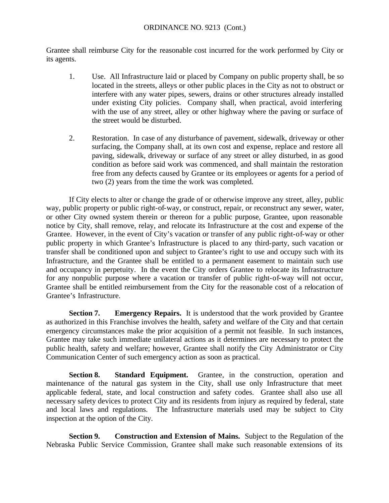Grantee shall reimburse City for the reasonable cost incurred for the work performed by City or its agents.

- 1. Use. All Infrastructure laid or placed by Company on public property shall, be so located in the streets, alleys or other public places in the City as not to obstruct or interfere with any water pipes, sewers, drains or other structures already installed under existing City policies. Company shall, when practical, avoid interfering with the use of any street, alley or other highway where the paving or surface of the street would be disturbed.
- 2. Restoration. In case of any disturbance of pavement, sidewalk, driveway or other surfacing, the Company shall, at its own cost and expense, replace and restore all paving, sidewalk, driveway or surface of any street or alley disturbed, in as good condition as before said work was commenced, and shall maintain the restoration free from any defects caused by Grantee or its employees or agents for a period of two (2) years from the time the work was completed.

If City elects to alter or change the grade of or otherwise improve any street, alley, public way, public property or public right-of-way, or construct, repair, or reconstruct any sewer, water, or other City owned system therein or thereon for a public purpose, Grantee, upon reasonable notice by City, shall remove, relay, and relocate its Infrastructure at the cost and expense of the Grantee. However, in the event of City's vacation or transfer of any public right-of-way or other public property in which Grantee's Infrastructure is placed to any third-party, such vacation or transfer shall be conditioned upon and subject to Grantee's right to use and occupy such with its Infrastructure, and the Grantee shall be entitled to a permanent easement to maintain such use and occupancy in perpetuity. In the event the City orders Grantee to relocate its Infrastructure for any nonpublic purpose where a vacation or transfer of public right-of-way will not occur, Grantee shall be entitled reimbursement from the City for the reasonable cost of a relocation of Grantee's Infrastructure.

**Section 7. Emergency Repairs.** It is understood that the work provided by Grantee as authorized in this Franchise involves the health, safety and welfare of the City and that certain emergency circumstances make the prior acquisition of a permit not feasible. In such instances, Grantee may take such immediate unilateral actions as it determines are necessary to protect the public health, safety and welfare; however, Grantee shall notify the City Administrator or City Communication Center of such emergency action as soon as practical.

**Section 8. Standard Equipment.** Grantee, in the construction, operation and maintenance of the natural gas system in the City, shall use only Infrastructure that meet applicable federal, state, and local construction and safety codes. Grantee shall also use all necessary safety devices to protect City and its residents from injury as required by federal, state and local laws and regulations. The Infrastructure materials used may be subject to City inspection at the option of the City.

**Section 9. Construction and Extension of Mains.** Subject to the Regulation of the Nebraska Public Service Commission, Grantee shall make such reasonable extensions of its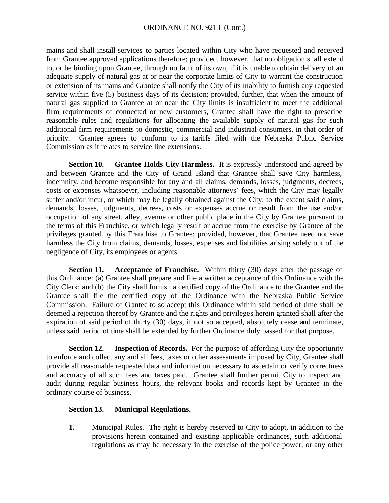mains and shall install services to parties located within City who have requested and received from Grantee approved applications therefore; provided, however, that no obligation shall extend to, or be binding upon Grantee, through no fault of its own, if it is unable to obtain delivery of an adequate supply of natural gas at or near the corporate limits of City to warrant the construction or extension of its mains and Grantee shall notify the City of its inability to furnish any requested service within five (5) business days of its decision; provided, further, that when the amount of natural gas supplied to Grantee at or near the City limits is insufficient to meet the additional firm requirements of connected or new customers, Grantee shall have the right to prescribe reasonable rules and regulations for allocating the available supply of natural gas for such additional firm requirements to domestic, commercial and industrial consumers, in that order of priority. Grantee agrees to conform to its tariffs filed with the Nebraska Public Service Commission as it relates to service line extensions.

**Section 10. Grantee Holds City Harmless.** It is expressly understood and agreed by and between Grantee and the City of Grand Island that Grantee shall save City harmless, indemnify, and become responsible for any and all claims, demands, losses, judgments, decrees, costs or expenses whatsoever, including reasonable attorneys' fees, which the City may legally suffer and/or incur, or which may be legally obtained against the City, to the extent said claims, demands, losses, judgments, decrees, costs or expenses accrue or result from the use and/or occupation of any street, alley, avenue or other public place in the City by Grantee pursuant to the terms of this Franchise, or which legally result or accrue from the exercise by Grantee of the privileges granted by this Franchise to Grantee; provided, however, that Grantee need not save harmless the City from claims, demands, losses, expenses and liabilities arising solely out of the negligence of City, its employees or agents.

**Section 11. Acceptance of Franchise.** Within thirty (30) days after the passage of this Ordinance: (a) Grantee shall prepare and file a written acceptance of this Ordinance with the City Clerk; and (b) the City shall furnish a certified copy of the Ordinance to the Grantee and the Grantee shall file the certified copy of the Ordinance with the Nebraska Public Service Commission. Failure of Grantee to so accept this Ordinance within said period of time shall be deemed a rejection thereof by Grantee and the rights and privileges herein granted shall after the expiration of said period of thirty (30) days, if not so accepted, absolutely cease and terminate, unless said period of time shall be extended by further Ordinance duly passed for that purpose.

**Section 12. Inspection of Records.** For the purpose of affording City the opportunity to enforce and collect any and all fees, taxes or other assessments imposed by City, Grantee shall provide all reasonable requested data and information necessary to ascertain or verify correctness and accuracy of all such fees and taxes paid. Grantee shall further permit City to inspect and audit during regular business hours, the relevant books and records kept by Grantee in the ordinary course of business.

#### **Section 13. Municipal Regulations.**

**1.** Municipal Rules. The right is hereby reserved to City to adopt, in addition to the provisions herein contained and existing applicable ordinances, such additional regulations as may be necessary in the exercise of the police power, or any other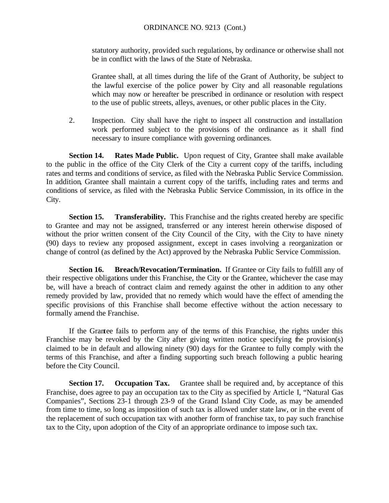#### ORDINANCE NO. 9213 (Cont.)

statutory authority, provided such regulations, by ordinance or otherwise shall not be in conflict with the laws of the State of Nebraska.

Grantee shall, at all times during the life of the Grant of Authority, be subject to the lawful exercise of the police power by City and all reasonable regulations which may now or hereafter be prescribed in ordinance or resolution with respect to the use of public streets, alleys, avenues, or other public places in the City.

2. Inspection. City shall have the right to inspect all construction and installation work performed subject to the provisions of the ordinance as it shall find necessary to insure compliance with governing ordinances.

**Section 14. Rates Made Public.** Upon request of City, Grantee shall make available to the public in the office of the City Clerk of the City a current copy of the tariffs, including rates and terms and conditions of service, as filed with the Nebraska Public Service Commission. In addition, Grantee shall maintain a current copy of the tariffs, including rates and terms and conditions of service, as filed with the Nebraska Public Service Commission, in its office in the City.

**Section 15. Transferability.** This Franchise and the rights created hereby are specific to Grantee and may not be assigned, transferred or any interest herein otherwise disposed of without the prior written consent of the City Council of the City, with the City to have ninety (90) days to review any proposed assignment, except in cases involving a reorganization or change of control (as defined by the Act) approved by the Nebraska Public Service Commission.

**Section 16. Breach/Revocation/Termination.** If Grantee or City fails to fulfill any of their respective obligations under this Franchise, the City or the Grantee, whichever the case may be, will have a breach of contract claim and remedy against the other in addition to any other remedy provided by law, provided that no remedy which would have the effect of amending the specific provisions of this Franchise shall become effective without the action necessary to formally amend the Franchise.

If the Grantee fails to perform any of the terms of this Franchise, the rights under this Franchise may be revoked by the City after giving written notice specifying the provision(s) claimed to be in default and allowing ninety (90) days for the Grantee to fully comply with the terms of this Franchise, and after a finding supporting such breach following a public hearing before the City Council.

**Section 17. Occupation Tax.** Grantee shall be required and, by acceptance of this Franchise, does agree to pay an occupation tax to the City as specified by Article I, "Natural Gas Companies", Sections 23-1 through 23-9 of the Grand Island City Code, as may be amended from time to time, so long as imposition of such tax is allowed under state law, or in the event of the replacement of such occupation tax with another form of franchise tax, to pay such franchise tax to the City, upon adoption of the City of an appropriate ordinance to impose such tax.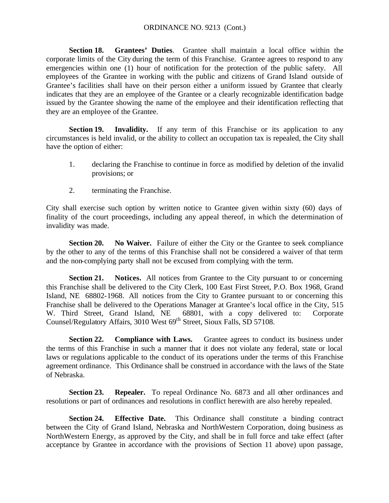**Section 18. Grantees' Duties**. Grantee shall maintain a local office within the corporate limits of the City during the term of this Franchise. Grantee agrees to respond to any emergencies within one (1) hour of notification for the protection of the public safety. All employees of the Grantee in working with the public and citizens of Grand Island outside of Grantee's facilities shall have on their person either a uniform issued by Grantee that clearly indicates that they are an employee of the Grantee or a clearly recognizable identification badge issued by the Grantee showing the name of the employee and their identification reflecting that they are an employee of the Grantee.

**Section 19. Invalidity.** If any term of this Franchise or its application to any circumstances is held invalid, or the ability to collect an occupation tax is repealed, the City shall have the option of either:

- 1. declaring the Franchise to continue in force as modified by deletion of the invalid provisions; or
- 2. terminating the Franchise.

City shall exercise such option by written notice to Grantee given within sixty (60) days of finality of the court proceedings, including any appeal thereof, in which the determination of invalidity was made.

**Section 20. No Waiver.** Failure of either the City or the Grantee to seek compliance by the other to any of the terms of this Franchise shall not be considered a waiver of that term and the non-complying party shall not be excused from complying with the term.

**Section 21. Notices.** All notices from Grantee to the City pursuant to or concerning this Franchise shall be delivered to the City Clerk, 100 East First Street, P.O. Box 1968, Grand Island, NE 68802-1968. All notices from the City to Grantee pursuant to or concerning this Franchise shall be delivered to the Operations Manager at Grantee's local office in the City, 515 W. Third Street, Grand Island, NE 68801, with a copy delivered to: Corporate Counsel/Regulatory Affairs, 3010 West 69<sup>th</sup> Street, Sioux Falls, SD 57108.

**Section 22. Compliance with Laws.** Grantee agrees to conduct its business under the terms of this Franchise in such a manner that it does not violate any federal, state or local laws or regulations applicable to the conduct of its operations under the terms of this Franchise agreement ordinance. This Ordinance shall be construed in accordance with the laws of the State of Nebraska.

**Section 23. Repealer.** To repeal Ordinance No. 6873 and all other ordinances and resolutions or part of ordinances and resolutions in conflict herewith are also hereby repealed.

**Section 24. Effective Date.** This Ordinance shall constitute a binding contract between the City of Grand Island, Nebraska and NorthWestern Corporation, doing business as NorthWestern Energy, as approved by the City, and shall be in full force and take effect (after acceptance by Grantee in accordance with the provisions of Section 11 above) upon passage,